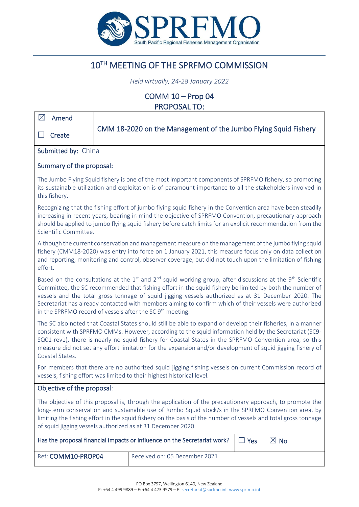

# 10TH MEETING OF THE SPRFMO COMMISSION

*Held virtually, 24-28 January 2022*

COMM 10 – Prop 04 PROPOSAL TO:

| $\boxtimes$<br>Amend                                                                                                                                                                                                                                                                                                                                                                                                                                                                                                             |                                                                 |  |  |
|----------------------------------------------------------------------------------------------------------------------------------------------------------------------------------------------------------------------------------------------------------------------------------------------------------------------------------------------------------------------------------------------------------------------------------------------------------------------------------------------------------------------------------|-----------------------------------------------------------------|--|--|
| Create                                                                                                                                                                                                                                                                                                                                                                                                                                                                                                                           | CMM 18-2020 on the Management of the Jumbo Flying Squid Fishery |  |  |
| Submitted by: China                                                                                                                                                                                                                                                                                                                                                                                                                                                                                                              |                                                                 |  |  |
| Summary of the proposal:                                                                                                                                                                                                                                                                                                                                                                                                                                                                                                         |                                                                 |  |  |
| The Jumbo Flying Squid fishery is one of the most important components of SPRFMO fishery, so promoting<br>its sustainable utilization and exploitation is of paramount importance to all the stakeholders involved in<br>this fishery.                                                                                                                                                                                                                                                                                           |                                                                 |  |  |
| Recognizing that the fishing effort of jumbo flying squid fishery in the Convention area have been steadily<br>increasing in recent years, bearing in mind the objective of SPRFMO Convention, precautionary approach<br>should be applied to jumbo flying squid fishery before catch limits for an explicit recommendation from the<br>Scientific Committee.                                                                                                                                                                    |                                                                 |  |  |
| Although the current conservation and management measure on the management of the jumbo flying squid<br>fishery (CMM18-2020) was entry into force on 1 January 2021, this measure focus only on data collection<br>and reporting, monitoring and control, observer coverage, but did not touch upon the limitation of fishing<br>effort.                                                                                                                                                                                         |                                                                 |  |  |
| Based on the consultations at the $1st$ and $2nd$ squid working group, after discussions at the 9 <sup>th</sup> Scientific<br>Committee, the SC recommended that fishing effort in the squid fishery be limited by both the number of<br>vessels and the total gross tonnage of squid jigging vessels authorized as at 31 December 2020. The<br>Secretariat has already contacted with members aiming to confirm which of their vessels were authorized<br>in the SPRFMO record of vessels after the SC 9 <sup>th</sup> meeting. |                                                                 |  |  |
| The SC also noted that Coastal States should still be able to expand or develop their fisheries, in a manner<br>consistent with SPRFMO CMMs. However, according to the squid information held by the Secretariat (SC9-<br>SQ01-rev1), there is nearly no squid fishery for Coastal States in the SPRFMO Convention area, so this<br>measure did not set any effort limitation for the expansion and/or development of squid jigging fishery of<br>Coastal States.                                                                |                                                                 |  |  |
| For members that there are no authorized squid jigging fishing vessels on current Commission record of<br>vessels, fishing effort was limited to their highest historical level.                                                                                                                                                                                                                                                                                                                                                 |                                                                 |  |  |
| Objective of the proposal:                                                                                                                                                                                                                                                                                                                                                                                                                                                                                                       |                                                                 |  |  |
| The objective of this proposal is, through the application of the precautionary approach, to promote the<br>long-term conservation and sustainable use of Jumbo Squid stock/s in the SPRFMO Convention area, by<br>limiting the fishing effort in the squid fishery on the basis of the number of vessels and total gross tonnage<br>of squid jigging vessels authorized as at 31 December 2020.                                                                                                                                 |                                                                 |  |  |
| Has the proposal financial impacts or influence on the Secretariat work?<br>$\boxtimes$ No<br>$\Box$ Yes                                                                                                                                                                                                                                                                                                                                                                                                                         |                                                                 |  |  |
| Ref: COMM10-PROP04                                                                                                                                                                                                                                                                                                                                                                                                                                                                                                               | Received on: 05 December 2021                                   |  |  |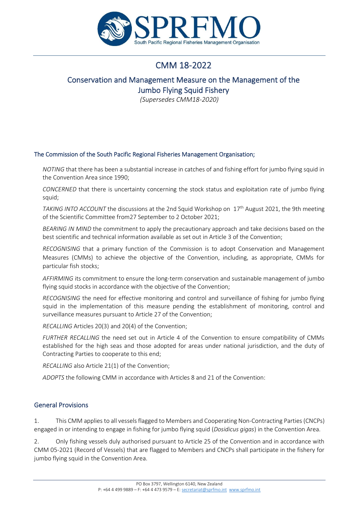

# CMM 18-2022

# Conservation and Management Measure on the Management of the Jumbo Flying Squid Fishery

*(Supersedes CMM18-2020)*

### The Commission of the South Pacific Regional Fisheries Management Organisation;

*NOTING* that there has been a substantial increase in catches of and fishing effort for jumbo flying squid in the Convention Area since 1990;

*CONCERNED* that there is uncertainty concerning the stock status and exploitation rate of jumbo flying squid;

*TAKING INTO ACCOUNT* the discussions at the 2nd Squid Workshop on 17<sup>th</sup> August 2021, the 9th meeting of the Scientific Committee from27 September to 2 October 2021;

*BEARING IN MIND* the commitment to apply the precautionary approach and take decisions based on the best scientific and technical information available as set out in Article 3 of the Convention;

*RECOGNISING* that a primary function of the Commission is to adopt Conservation and Management Measures (CMMs) to achieve the objective of the Convention, including, as appropriate, CMMs for particular fish stocks;

*AFFIRMING* its commitment to ensure the long-term conservation and sustainable management of jumbo flying squid stocks in accordance with the objective of the Convention;

*RECOGNISING* the need for effective monitoring and control and surveillance of fishing for jumbo flying squid in the implementation of this measure pending the establishment of monitoring, control and surveillance measures pursuant to Article 27 of the Convention;

*RECALLING* Articles 20(3) and 20(4) of the Convention;

*FURTHER RECALLING* the need set out in Article 4 of the Convention to ensure compatibility of CMMs established for the high seas and those adopted for areas under national jurisdiction, and the duty of Contracting Parties to cooperate to this end;

*RECALLING* also Article 21(1) of the Convention;

*ADOPTS* the following CMM in accordance with Articles 8 and 21 of the Convention:

## General Provisions

1. This CMM applies to all vessels flagged to Members and Cooperating Non-Contracting Parties (CNCPs) engaged in or intending to engage in fishing for jumbo flying squid (*Dosidicus gigas*) in the Convention Area.

2. Only fishing vessels duly authorised pursuant to Article 25 of the Convention and in accordance with CMM 05-2021 (Record of Vessels) that are flagged to Members and CNCPs shall participate in the fishery for jumbo flying squid in the Convention Area.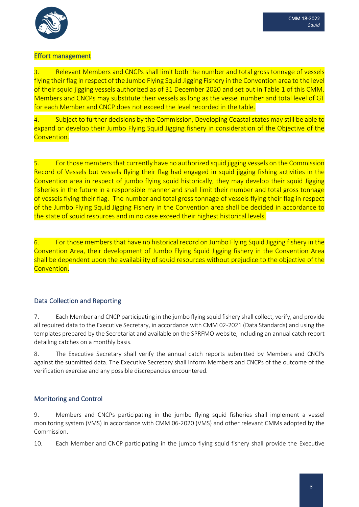

## Effort management

3. Relevant Members and CNCPs shall limit both the number and total gross tonnage of vessels flying their flag in respect of the Jumbo Flying Squid Jigging Fishery in the Convention area to the level of their squid jigging vessels authorized as of 31 December 2020 and set out in Table 1 of this CMM. Members and CNCPs may substitute their vessels as long as the vessel number and total level of GT for each Member and CNCP does not exceed the level recorded in the table.

4. Subject to further decisions by the Commission, Developing Coastal states may still be able to expand or develop their Jumbo Flying Squid Jigging fishery in consideration of the Objective of the Convention.

5. For those members that currently have no authorized squid jigging vessels on the Commission Record of Vessels but vessels flying their flag had engaged in squid jigging fishing activities in the Convention area in respect of jumbo flying squid historically, they may develop their squid Jigging fisheries in the future in a responsible manner and shall limit their number and total gross tonnage of vessels flying their flag. The number and total gross tonnage of vessels flying their flag in respect of the Jumbo Flying Squid Jigging Fishery in the Convention area shall be decided in accordance to the state of squid resources and in no case exceed their highest historical levels.

6. For those members that have no historical record on Jumbo Flying Squid Jigging fishery in the Convention Area, their development of Jumbo Flying Squid Jigging fishery in the Convention Area shall be dependent upon the availability of squid resources without prejudice to the objective of the Convention.

## Data Collection and Reporting

7. Each Member and CNCP participating in the jumbo flying squid fishery shall collect, verify, and provide all required data to the Executive Secretary, in accordance with CMM 02-2021 (Data Standards) and using the templates prepared by the Secretariat and available on the SPRFMO website, including an annual catch report detailing catches on a monthly basis.

8. The Executive Secretary shall verify the annual catch reports submitted by Members and CNCPs against the submitted data. The Executive Secretary shall inform Members and CNCPs of the outcome of the verification exercise and any possible discrepancies encountered.

## Monitoring and Control

9. Members and CNCPs participating in the jumbo flying squid fisheries shall implement a vessel monitoring system (VMS) in accordance with CMM 06-2020 (VMS) and other relevant CMMs adopted by the Commission.

10. Each Member and CNCP participating in the jumbo flying squid fishery shall provide the Executive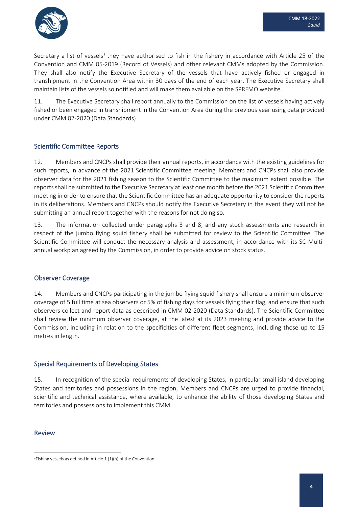

Secretary a list of vessels<sup>1</sup> they have authorised to fish in the fishery in accordance with Article 25 of the Convention and CMM 05-2019 (Record of Vessels) and other relevant CMMs adopted by the Commission. They shall also notify the Executive Secretary of the vessels that have actively fished or engaged in transhipment in the Convention Area within 30 days of the end of each year. The Executive Secretary shall maintain lists of the vessels so notified and will make them available on the SPRFMO website.

11. The Executive Secretary shall report annually to the Commission on the list of vessels having actively fished or been engaged in transhipment in the Convention Area during the previous year using data provided under CMM 02-2020 (Data Standards).

## Scientific Committee Reports

12. Members and CNCPs shall provide their annual reports, in accordance with the existing guidelines for such reports, in advance of the 2021 Scientific Committee meeting. Members and CNCPs shall also provide observer data for the 2021 fishing season to the Scientific Committee to the maximum extent possible. The reports shall be submitted to the Executive Secretary at least one month before the 2021 Scientific Committee meeting in order to ensure that the Scientific Committee has an adequate opportunity to consider the reports in its deliberations. Members and CNCPs should notify the Executive Secretary in the event they will not be submitting an annual report together with the reasons for not doing so.

13. The information collected under paragraphs 3 and 8, and any stock assessments and research in respect of the jumbo flying squid fishery shall be submitted for review to the Scientific Committee. The Scientific Committee will conduct the necessary analysis and assessment, in accordance with its SC Multiannual workplan agreed by the Commission, in order to provide advice on stock status.

#### Observer Coverage

14. Members and CNCPs participating in the jumbo flying squid fishery shall ensure a minimum observer coverage of 5 full time at sea observers or 5% of fishing days for vessels flying their flag, and ensure that such observers collect and report data as described in CMM 02-2020 (Data Standards). The Scientific Committee shall review the minimum observer coverage, at the latest at its 2023 meeting and provide advice to the Commission, including in relation to the specificities of different fleet segments, including those up to 15 metres in length.

#### Special Requirements of Developing States

15. In recognition of the special requirements of developing States, in particular small island developing States and territories and possessions in the region, Members and CNCPs are urged to provide financial, scientific and technical assistance, where available, to enhance the ability of those developing States and territories and possessions to implement this CMM.

#### Review

<sup>&</sup>lt;sup>1</sup>Fishing vessels as defined in Article  $1 (1)(h)$  of the Convention.